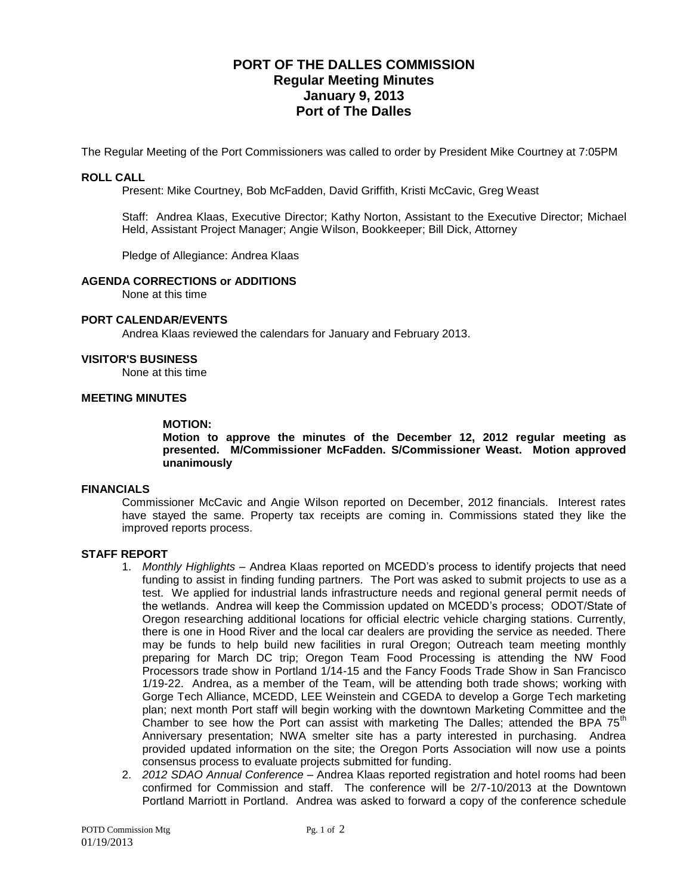# **PORT OF THE DALLES COMMISSION Regular Meeting Minutes January 9, 2013 Port of The Dalles**

The Regular Meeting of the Port Commissioners was called to order by President Mike Courtney at 7:05PM

# **ROLL CALL**

Present: Mike Courtney, Bob McFadden, David Griffith, Kristi McCavic, Greg Weast

Staff: Andrea Klaas, Executive Director; Kathy Norton, Assistant to the Executive Director; Michael Held, Assistant Project Manager; Angie Wilson, Bookkeeper; Bill Dick, Attorney

Pledge of Allegiance: Andrea Klaas

## **AGENDA CORRECTIONS or ADDITIONS**

None at this time

### **PORT CALENDAR/EVENTS**

Andrea Klaas reviewed the calendars for January and February 2013.

### **VISITOR'S BUSINESS**

None at this time

# **MEETING MINUTES**

#### **MOTION:**

**Motion to approve the minutes of the December 12, 2012 regular meeting as presented. M/Commissioner McFadden. S/Commissioner Weast. Motion approved unanimously**

### **FINANCIALS**

Commissioner McCavic and Angie Wilson reported on December, 2012 financials. Interest rates have stayed the same. Property tax receipts are coming in. Commissions stated they like the improved reports process.

# **STAFF REPORT**

- 1. *Monthly Highlights –* Andrea Klaas reported on MCEDD's process to identify projects that need funding to assist in finding funding partners. The Port was asked to submit projects to use as a test. We applied for industrial lands infrastructure needs and regional general permit needs of the wetlands. Andrea will keep the Commission updated on MCEDD's process; ODOT/State of Oregon researching additional locations for official electric vehicle charging stations. Currently, there is one in Hood River and the local car dealers are providing the service as needed. There may be funds to help build new facilities in rural Oregon; Outreach team meeting monthly preparing for March DC trip; Oregon Team Food Processing is attending the NW Food Processors trade show in Portland 1/14-15 and the Fancy Foods Trade Show in San Francisco 1/19-22. Andrea, as a member of the Team, will be attending both trade shows; working with Gorge Tech Alliance, MCEDD, LEE Weinstein and CGEDA to develop a Gorge Tech marketing plan; next month Port staff will begin working with the downtown Marketing Committee and the Chamber to see how the Port can assist with marketing The Dalles; attended the BPA  $75<sup>th</sup>$ Anniversary presentation; NWA smelter site has a party interested in purchasing. Andrea provided updated information on the site; the Oregon Ports Association will now use a points consensus process to evaluate projects submitted for funding.
- 2. *2012 SDAO Annual Conference –* Andrea Klaas reported registration and hotel rooms had been confirmed for Commission and staff. The conference will be 2/7-10/2013 at the Downtown Portland Marriott in Portland. Andrea was asked to forward a copy of the conference schedule